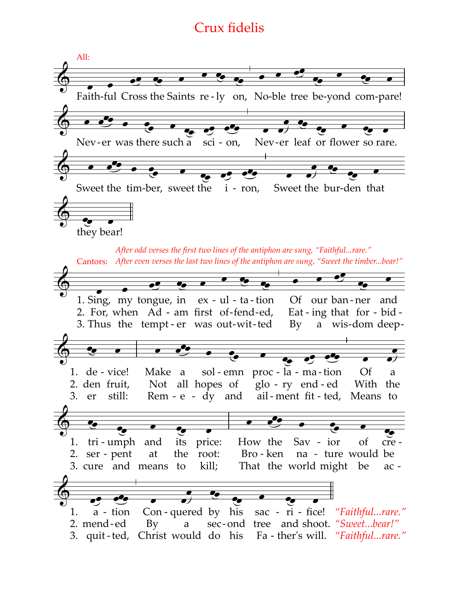## **Crux fidelis**

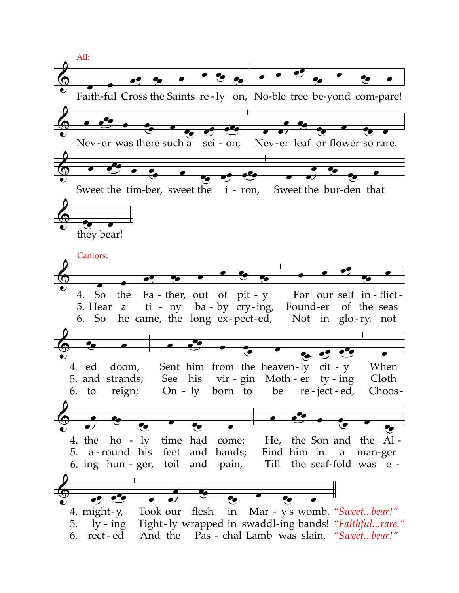All: Faith-ful Cross the Saints re-ly on, No-ble tree be-yond com-pare! o<sup>0</sup>o Nev-er was there such a sci - on, Nev-er leaf or flower so rare. <u>pap</u> Sweet the tim-ber, sweet the *i* - ron, Sweet the bur-den that they bear! Cantors:  $\bullet$ Fa - ther, out of pit -  $y$ For our self in-flict-4. So the  $ti - ny$  ba - by  $cry$ -ing, Found-er of the seas 5. Hear a he came, the long ex-pect-ed, 6. So Not in  $g\text{lo-ry}$ , not  $\bullet$ Sent him from the heaven-ly cit - y When 4. ed doom, 5. and strands; See his vir - gin Moth - er  $ty - ing$ Cloth  $6.$  to reign;  $On - ly$ born to be re-ject-ed, Choos-He, the Son and the Al-4. the  $ho - ly$ time had come: 5. a-round his feet and hands; Find him in a man-ger 6. ing  $hun - ger$ , toil and pain, Till the scaf-fold was e- $\overline{\bullet^{\theta_{\scriptscriptstyle \bullet}}}$  $\bullet^{\prime}$ ۰, Took our flesh Mar - y's womb. "Sweet...bear!" 4. might- $y$ ,  $in$ Tight-ly wrapped in swaddl-ing bands! "Faithful...rare." 5.  $\frac{1}{\nu}$  - ing And the Pas - chal Lamb was slain. "Sweet...bear!" 6. rect-ed